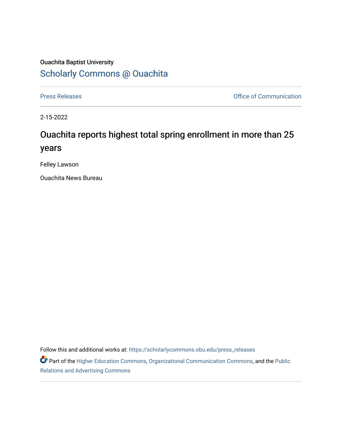## Ouachita Baptist University [Scholarly Commons @ Ouachita](https://scholarlycommons.obu.edu/)

[Press Releases](https://scholarlycommons.obu.edu/press_releases) **Press Releases Communication** 

2-15-2022

## Ouachita reports highest total spring enrollment in more than 25 years

Felley Lawson

Ouachita News Bureau

Follow this and additional works at: [https://scholarlycommons.obu.edu/press\\_releases](https://scholarlycommons.obu.edu/press_releases?utm_source=scholarlycommons.obu.edu%2Fpress_releases%2F1055&utm_medium=PDF&utm_campaign=PDFCoverPages)

Part of the [Higher Education Commons,](http://network.bepress.com/hgg/discipline/1245?utm_source=scholarlycommons.obu.edu%2Fpress_releases%2F1055&utm_medium=PDF&utm_campaign=PDFCoverPages) [Organizational Communication Commons,](http://network.bepress.com/hgg/discipline/335?utm_source=scholarlycommons.obu.edu%2Fpress_releases%2F1055&utm_medium=PDF&utm_campaign=PDFCoverPages) and the [Public](http://network.bepress.com/hgg/discipline/336?utm_source=scholarlycommons.obu.edu%2Fpress_releases%2F1055&utm_medium=PDF&utm_campaign=PDFCoverPages) [Relations and Advertising Commons](http://network.bepress.com/hgg/discipline/336?utm_source=scholarlycommons.obu.edu%2Fpress_releases%2F1055&utm_medium=PDF&utm_campaign=PDFCoverPages)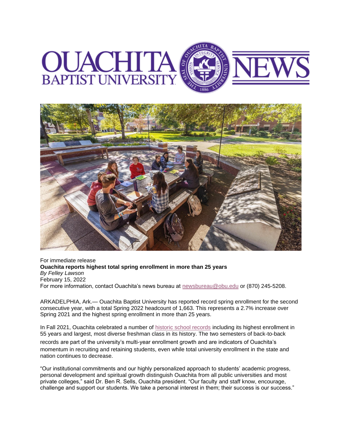



For immediate release **Ouachita reports highest total spring enrollment in more than 25 years** *By Felley Lawson* February 15, 2022 For more information, contact Ouachita's news bureau at [newsbureau@obu.edu](mailto:newsbureau@obu.edu) or (870) 245-5208.

ARKADELPHIA, Ark.— Ouachita Baptist University has reported record spring enrollment for the second consecutive year, with a total Spring 2022 headcount of 1,663. This represents a 2.7% increase over Spring 2021 and the highest spring enrollment in more than 25 years.

In Fall 2021, Ouachita celebrated a number of [historic school records](https://nam12.safelinks.protection.outlook.com/?url=https%3A%2F%2Fobu.edu%2Fstories%2Fnews%2F2021%2F09%2Fouachita-enrollment-records-fall-2021.php&data=04%7C01%7Cmortensona%40OBU.EDU%7C4306932906ed419ef16a08d9f09fcfc3%7C59a7df8e1953458ba12bb585f94a11d9%7C1%7C0%7C637805391446596447%7CUnknown%7CTWFpbGZsb3d8eyJWIjoiMC4wLjAwMDAiLCJQIjoiV2luMzIiLCJBTiI6Ik1haWwiLCJXVCI6Mn0%3D%7C3000&sdata=8nzBlMmu%2Fucrq0KRF8nV6Yta1KpQT%2BjYgAt8IytuY%2FE%3D&reserved=0) including its highest enrollment in 55 years and largest, most diverse freshman class in its history. The two semesters of back-to-back

records are part of the university's multi-year enrollment growth and are indicators of Ouachita's momentum in recruiting and retaining students, even while total university enrollment in the state and nation continues to decrease.

"Our institutional commitments and our highly personalized approach to students' academic progress, personal development and spiritual growth distinguish Ouachita from all public universities and most private colleges," said Dr. Ben R. Sells, Ouachita president. "Our faculty and staff know, encourage, challenge and support our students. We take a personal interest in them; their success is our success."